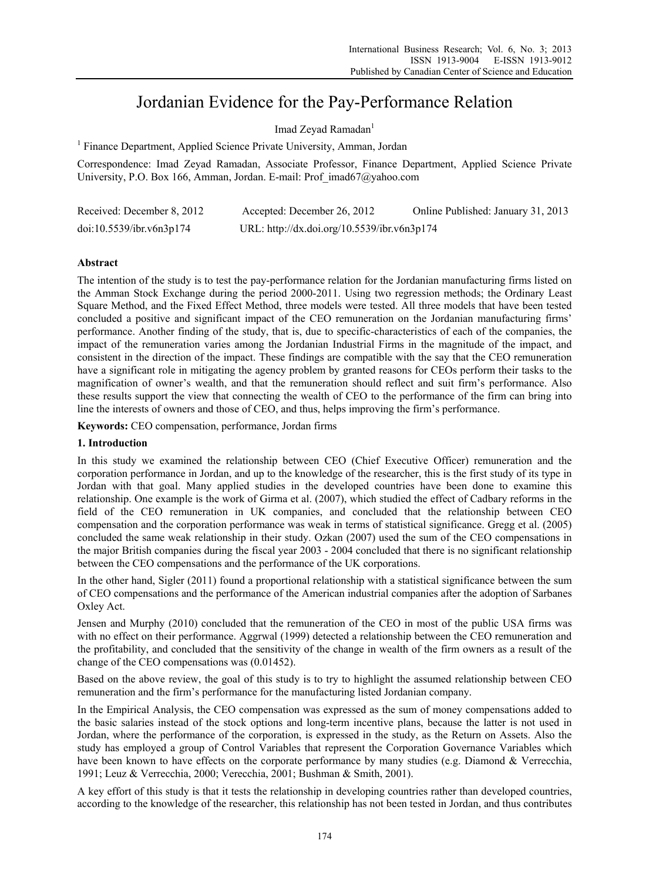# Jordanian Evidence for the Pay-Performance Relation

Imad Zeyad Ramadan<sup>1</sup>

<sup>1</sup> Finance Department, Applied Science Private University, Amman, Jordan

Correspondence: Imad Zeyad Ramadan, Associate Professor, Finance Department, Applied Science Private University, P.O. Box 166, Amman, Jordan. E-mail: Prof\_imad67@yahoo.com

| Received: December 8, 2012 | Accepted: December 26, 2012                 | Online Published: January 31, 2013 |
|----------------------------|---------------------------------------------|------------------------------------|
| doi:10.5539/ibr.v6n3p174   | URL: http://dx.doi.org/10.5539/ibr.v6n3p174 |                                    |

# **Abstract**

The intention of the study is to test the pay-performance relation for the Jordanian manufacturing firms listed on the Amman Stock Exchange during the period 2000-2011. Using two regression methods; the Ordinary Least Square Method, and the Fixed Effect Method, three models were tested. All three models that have been tested concluded a positive and significant impact of the CEO remuneration on the Jordanian manufacturing firms' performance. Another finding of the study, that is, due to specific-characteristics of each of the companies, the impact of the remuneration varies among the Jordanian Industrial Firms in the magnitude of the impact, and consistent in the direction of the impact. These findings are compatible with the say that the CEO remuneration have a significant role in mitigating the agency problem by granted reasons for CEOs perform their tasks to the magnification of owner's wealth, and that the remuneration should reflect and suit firm's performance. Also these results support the view that connecting the wealth of CEO to the performance of the firm can bring into line the interests of owners and those of CEO, and thus, helps improving the firm's performance.

**Keywords:** CEO compensation, performance, Jordan firms

# **1. Introduction**

In this study we examined the relationship between CEO (Chief Executive Officer) remuneration and the corporation performance in Jordan, and up to the knowledge of the researcher, this is the first study of its type in Jordan with that goal. Many applied studies in the developed countries have been done to examine this relationship. One example is the work of Girma et al. (2007), which studied the effect of Cadbary reforms in the field of the CEO remuneration in UK companies, and concluded that the relationship between CEO compensation and the corporation performance was weak in terms of statistical significance. Gregg et al. (2005) concluded the same weak relationship in their study. Ozkan (2007) used the sum of the CEO compensations in the major British companies during the fiscal year 2003 - 2004 concluded that there is no significant relationship between the CEO compensations and the performance of the UK corporations.

In the other hand, Sigler (2011) found a proportional relationship with a statistical significance between the sum of CEO compensations and the performance of the American industrial companies after the adoption of Sarbanes Oxley Act.

Jensen and Murphy (2010) concluded that the remuneration of the CEO in most of the public USA firms was with no effect on their performance. Aggrwal (1999) detected a relationship between the CEO remuneration and the profitability, and concluded that the sensitivity of the change in wealth of the firm owners as a result of the change of the CEO compensations was (0.01452).

Based on the above review, the goal of this study is to try to highlight the assumed relationship between CEO remuneration and the firm's performance for the manufacturing listed Jordanian company.

In the Empirical Analysis, the CEO compensation was expressed as the sum of money compensations added to the basic salaries instead of the stock options and long-term incentive plans, because the latter is not used in Jordan, where the performance of the corporation, is expressed in the study, as the Return on Assets. Also the study has employed a group of Control Variables that represent the Corporation Governance Variables which have been known to have effects on the corporate performance by many studies (e.g. Diamond & Verrecchia, 1991; Leuz & Verrecchia, 2000; Verecchia, 2001; Bushman & Smith, 2001).

A key effort of this study is that it tests the relationship in developing countries rather than developed countries, according to the knowledge of the researcher, this relationship has not been tested in Jordan, and thus contributes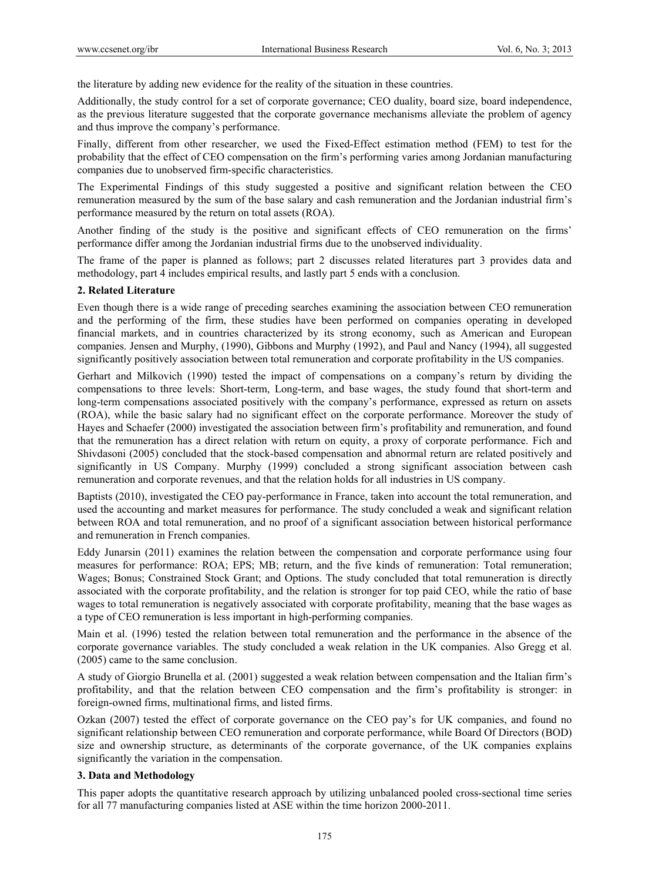the literature by adding new evidence for the reality of the situation in these countries.

Additionally, the study control for a set of corporate governance; CEO duality, board size, board independence, as the previous literature suggested that the corporate governance mechanisms alleviate the problem of agency and thus improve the company's performance.

Finally, different from other researcher, we used the Fixed-Effect estimation method (FEM) to test for the probability that the effect of CEO compensation on the firm's performing varies among Jordanian manufacturing companies due to unobserved firm-specific characteristics.

The Experimental Findings of this study suggested a positive and significant relation between the CEO remuneration measured by the sum of the base salary and cash remuneration and the Jordanian industrial firm's performance measured by the return on total assets (ROA).

Another finding of the study is the positive and significant effects of CEO remuneration on the firms' performance differ among the Jordanian industrial firms due to the unobserved individuality.

The frame of the paper is planned as follows; part 2 discusses related literatures part 3 provides data and methodology, part 4 includes empirical results, and lastly part 5 ends with a conclusion.

## **2. Related Literature**

Even though there is a wide range of preceding searches examining the association between CEO remuneration and the performing of the firm, these studies have been performed on companies operating in developed financial markets, and in countries characterized by its strong economy, such as American and European companies. Jensen and Murphy, (1990), Gibbons and Murphy (1992), and Paul and Nancy (1994), all suggested significantly positively association between total remuneration and corporate profitability in the US companies.

Gerhart and Milkovich (1990) tested the impact of compensations on a company's return by dividing the compensations to three levels: Short-term, Long-term, and base wages, the study found that short-term and long-term compensations associated positively with the company's performance, expressed as return on assets (ROA), while the basic salary had no significant effect on the corporate performance. Moreover the study of Hayes and Schaefer (2000) investigated the association between firm's profitability and remuneration, and found that the remuneration has a direct relation with return on equity, a proxy of corporate performance. Fich and Shivdasoni (2005) concluded that the stock-based compensation and abnormal return are related positively and significantly in US Company. Murphy (1999) concluded a strong significant association between cash remuneration and corporate revenues, and that the relation holds for all industries in US company.

Baptists (2010), investigated the CEO pay-performance in France, taken into account the total remuneration, and used the accounting and market measures for performance. The study concluded a weak and significant relation between ROA and total remuneration, and no proof of a significant association between historical performance and remuneration in French companies.

Eddy Junarsin (2011) examines the relation between the compensation and corporate performance using four measures for performance: ROA; EPS; MB; return, and the five kinds of remuneration: Total remuneration; Wages; Bonus; Constrained Stock Grant; and Options. The study concluded that total remuneration is directly associated with the corporate profitability, and the relation is stronger for top paid CEO, while the ratio of base wages to total remuneration is negatively associated with corporate profitability, meaning that the base wages as a type of CEO remuneration is less important in high-performing companies.

Main et al. (1996) tested the relation between total remuneration and the performance in the absence of the corporate governance variables. The study concluded a weak relation in the UK companies. Also Gregg et al. (2005) came to the same conclusion.

A study of Giorgio Brunella et al. (2001) suggested a weak relation between compensation and the Italian firm's profitability, and that the relation between CEO compensation and the firm's profitability is stronger: in foreign-owned firms, multinational firms, and listed firms.

Ozkan (2007) tested the effect of corporate governance on the CEO pay's for UK companies, and found no significant relationship between CEO remuneration and corporate performance, while Board Of Directors (BOD) size and ownership structure, as determinants of the corporate governance, of the UK companies explains significantly the variation in the compensation.

# **3. Data and Methodology**

This paper adopts the quantitative research approach by utilizing unbalanced pooled cross-sectional time series for all 77 manufacturing companies listed at ASE within the time horizon 2000-2011.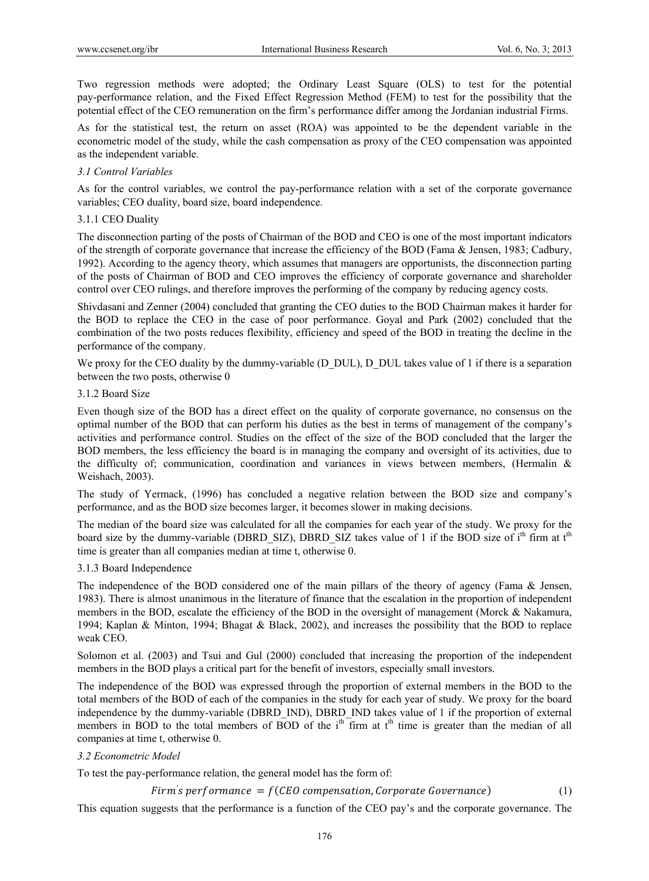Two regression methods were adopted; the Ordinary Least Square (OLS) to test for the potential pay-performance relation, and the Fixed Effect Regression Method (FEM) to test for the possibility that the potential effect of the CEO remuneration on the firm's performance differ among the Jordanian industrial Firms.

As for the statistical test, the return on asset (ROA) was appointed to be the dependent variable in the econometric model of the study, while the cash compensation as proxy of the CEO compensation was appointed as the independent variable.

# *3.1 Control Variables*

As for the control variables, we control the pay-performance relation with a set of the corporate governance variables; CEO duality, board size, board independence.

# 3.1.1 CEO Duality

The disconnection parting of the posts of Chairman of the BOD and CEO is one of the most important indicators of the strength of corporate governance that increase the efficiency of the BOD (Fama & Jensen, 1983; Cadbury, 1992). According to the agency theory, which assumes that managers are opportunists, the disconnection parting of the posts of Chairman of BOD and CEO improves the efficiency of corporate governance and shareholder control over CEO rulings, and therefore improves the performing of the company by reducing agency costs.

Shivdasani and Zenner (2004) concluded that granting the CEO duties to the BOD Chairman makes it harder for the BOD to replace the CEO in the case of poor performance. Goyal and Park (2002) concluded that the combination of the two posts reduces flexibility, efficiency and speed of the BOD in treating the decline in the performance of the company.

We proxy for the CEO duality by the dummy-variable (D\_DUL), D\_DUL takes value of 1 if there is a separation between the two posts, otherwise 0

# 3.1.2 Board Size

Even though size of the BOD has a direct effect on the quality of corporate governance, no consensus on the optimal number of the BOD that can perform his duties as the best in terms of management of the company's activities and performance control. Studies on the effect of the size of the BOD concluded that the larger the BOD members, the less efficiency the board is in managing the company and oversight of its activities, due to the difficulty of; communication, coordination and variances in views between members, (Hermalin & Weishach, 2003).

The study of Yermack, (1996) has concluded a negative relation between the BOD size and company's performance, and as the BOD size becomes larger, it becomes slower in making decisions.

The median of the board size was calculated for all the companies for each year of the study. We proxy for the board size by the dummy-variable (DBRD\_SIZ), DBRD\_SIZ takes value of 1 if the BOD size of  $i<sup>th</sup>$  firm at  $t<sup>th</sup>$ time is greater than all companies median at time t, otherwise 0.

# 3.1.3 Board Independence

The independence of the BOD considered one of the main pillars of the theory of agency (Fama & Jensen, 1983). There is almost unanimous in the literature of finance that the escalation in the proportion of independent members in the BOD, escalate the efficiency of the BOD in the oversight of management (Morck & Nakamura, 1994; Kaplan & Minton, 1994; Bhagat & Black, 2002), and increases the possibility that the BOD to replace weak CEO.

Solomon et al. (2003) and Tsui and Gul (2000) concluded that increasing the proportion of the independent members in the BOD plays a critical part for the benefit of investors, especially small investors.

The independence of the BOD was expressed through the proportion of external members in the BOD to the total members of the BOD of each of the companies in the study for each year of study. We proxy for the board independence by the dummy-variable (DBRD\_IND), DBRD\_IND takes value of 1 if the proportion of external members in BOD to the total members of BOD of the  $i<sup>th</sup>$  firm at  $t<sup>th</sup>$  time is greater than the median of all companies at time t, otherwise 0.

# *3.2 Econometric Model*

To test the pay-performance relation, the general model has the form of:

*Firm's performance = f(CEO compensation, Corporate Governance)* (1)

This equation suggests that the performance is a function of the CEO pay's and the corporate governance. The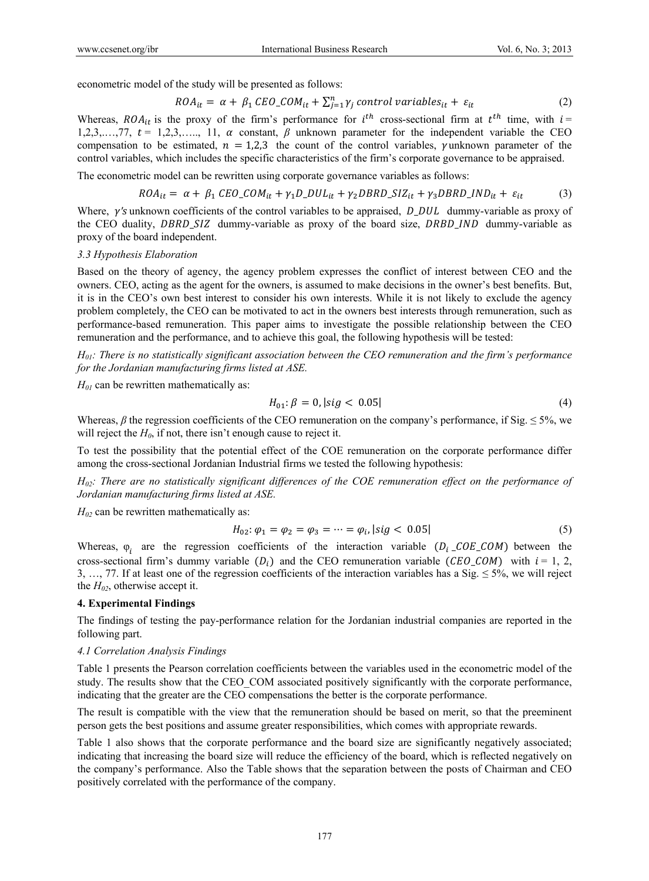econometric model of the study will be presented as follows:

$$
ROA_{it} = \alpha + \beta_1 \, EBO\_COM_{it} + \sum_{j=1}^{n} \gamma_j \, control \, variables_{it} + \varepsilon_{it}
$$
 (2)

Whereas,  $ROA_{it}$  is the proxy of the firm's performance for  $i^{th}$  cross-sectional firm at  $t^{th}$  time, with  $i =$ 1,2,3,...,77,  $t = 1,2,3,..., 11, \alpha$  constant,  $\beta$  unknown parameter for the independent variable the CEO compensation to be estimated,  $n = 1,2,3$  the count of the control variables, yunknown parameter of the control variables, which includes the specific characteristics of the firm's corporate governance to be appraised.

The econometric model can be rewritten using corporate governance variables as follows:

$$
ROA_{it} = \alpha + \beta_1 \, EBO\_COM_{it} + \gamma_1 D\_DUL_{it} + \gamma_2 DBRD\_SIZ_{it} + \gamma_3 DBRD\_IND_{it} + \varepsilon_{it}
$$
 (3)

Where, γ's unknown coefficients of the control variables to be appraised, D\_DUL dummy-variable as proxy of the CEO duality, *DBRD\_SIZ* dummy-variable as proxy of the board size, *DRBD\_IND* dummy-variable as proxy of the board independent.

#### *3.3 Hypothesis Elaboration*

Based on the theory of agency, the agency problem expresses the conflict of interest between CEO and the owners. CEO, acting as the agent for the owners, is assumed to make decisions in the owner's best benefits. But, it is in the CEO's own best interest to consider his own interests. While it is not likely to exclude the agency problem completely, the CEO can be motivated to act in the owners best interests through remuneration, such as performance-based remuneration. This paper aims to investigate the possible relationship between the CEO remuneration and the performance, and to achieve this goal, the following hypothesis will be tested:

*H01: There is no statistically significant association between the CEO remuneration and the firm's performance for the Jordanian manufacturing firms listed at ASE.* 

 $H_{01}$  can be rewritten mathematically as:

$$
H_{01}: \beta = 0, |sig < 0.05| \tag{4}
$$

Whereas,  $\beta$  the regression coefficients of the CEO remuneration on the company's performance, if Sig.  $\leq 5\%$ , we will reject the  $H_0$ , if not, there isn't enough cause to reject it.

To test the possibility that the potential effect of the COE remuneration on the corporate performance differ among the cross-sectional Jordanian Industrial firms we tested the following hypothesis:

*H02: There are no statistically significant differences of the COE remuneration effect on the performance of Jordanian manufacturing firms listed at ASE.* 

 $H_{02}$  can be rewritten mathematically as:

$$
H_{02}: \varphi_1 = \varphi_2 = \varphi_3 = \dots = \varphi_i, |sig < 0.05| \tag{5}
$$

Whereas,  $\varphi_i$  are the regression coefficients of the interaction variable  $(D_i \_{COE\_COM})$  between the cross-sectional firm's dummy variable  $(D_i)$  and the CEO remuneration variable  $(\text{CEO}\_\text{COM})$  with  $i = 1, 2,$ 3, …, 77. If at least one of the regression coefficients of the interaction variables has a Sig.  $\leq$  5%, we will reject the  $H_{02}$ , otherwise accept it.

## **4. Experimental Findings**

The findings of testing the pay-performance relation for the Jordanian industrial companies are reported in the following part.

### *4.1 Correlation Analysis Findings*

Table 1 presents the Pearson correlation coefficients between the variables used in the econometric model of the study. The results show that the CEO\_COM associated positively significantly with the corporate performance, indicating that the greater are the CEO compensations the better is the corporate performance.

The result is compatible with the view that the remuneration should be based on merit, so that the preeminent person gets the best positions and assume greater responsibilities, which comes with appropriate rewards.

Table 1 also shows that the corporate performance and the board size are significantly negatively associated; indicating that increasing the board size will reduce the efficiency of the board, which is reflected negatively on the company's performance. Also the Table shows that the separation between the posts of Chairman and CEO positively correlated with the performance of the company.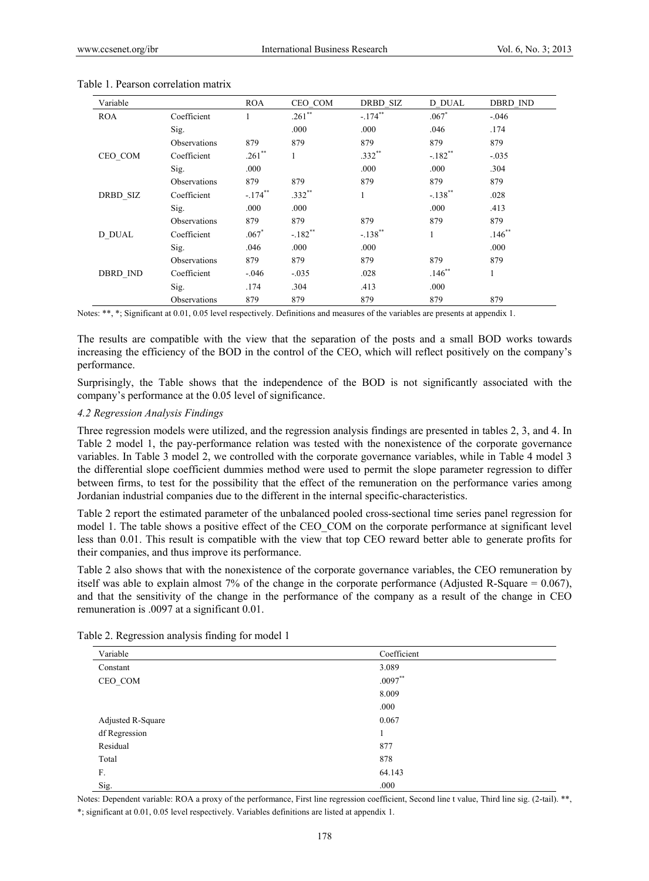| Variable        |                     | <b>ROA</b> | CEO COM   | DRBD SIZ   | D DUAL       | <b>DBRD IND</b> |
|-----------------|---------------------|------------|-----------|------------|--------------|-----------------|
| <b>ROA</b>      | Coefficient         |            | $.261**$  | $-.174**$  | $.067*$      | $-0.046$        |
|                 | Sig.                |            | .000      | .000       | .046         | .174            |
|                 | <b>Observations</b> | 879        | 879       | 879        | 879          | 879             |
| CEO_COM         | Coefficient         | $.261**$   | 1         | $.332**$   | $-.182**$    | $-0.035$        |
|                 | Sig.                | .000       |           | .000       | .000         | .304            |
|                 | <b>Observations</b> | 879        | 879       | 879        | 879          | 879             |
| DRBD SIZ        | Coefficient         | $-.174$ ** | $.332**$  | 1          | $-.138***$   | .028            |
|                 | Sig.                | .000       | .000      |            | .000         | .413            |
|                 | Observations        | 879        | 879       | 879        | 879          | 879             |
| D DUAL          | Coefficient         | $.067*$    | $-.182**$ | $-.138$ ** | $\mathbf{1}$ | $.146**$        |
|                 | Sig.                | .046       | .000      | .000       |              | .000            |
|                 | <b>Observations</b> | 879        | 879       | 879        | 879          | 879             |
| <b>DBRD IND</b> | Coefficient         | $-.046$    | $-.035$   | .028       | $.146**$     | $\mathbf{1}$    |
|                 | Sig.                | .174       | .304      | .413       | .000         |                 |
|                 | Observations        | 879        | 879       | 879        | 879          | 879             |

#### Table 1. Pearson correlation matrix

Notes: \*\*, \*; Significant at 0.01, 0.05 level respectively. Definitions and measures of the variables are presents at appendix 1.

The results are compatible with the view that the separation of the posts and a small BOD works towards increasing the efficiency of the BOD in the control of the CEO, which will reflect positively on the company's performance.

Surprisingly, the Table shows that the independence of the BOD is not significantly associated with the company's performance at the 0.05 level of significance.

#### *4.2 Regression Analysis Findings*

Three regression models were utilized, and the regression analysis findings are presented in tables 2, 3, and 4. In Table 2 model 1, the pay-performance relation was tested with the nonexistence of the corporate governance variables. In Table 3 model 2, we controlled with the corporate governance variables, while in Table 4 model 3 the differential slope coefficient dummies method were used to permit the slope parameter regression to differ between firms, to test for the possibility that the effect of the remuneration on the performance varies among Jordanian industrial companies due to the different in the internal specific-characteristics.

Table 2 report the estimated parameter of the unbalanced pooled cross-sectional time series panel regression for model 1. The table shows a positive effect of the CEO\_COM on the corporate performance at significant level less than 0.01. This result is compatible with the view that top CEO reward better able to generate profits for their companies, and thus improve its performance.

Table 2 also shows that with the nonexistence of the corporate governance variables, the CEO remuneration by itself was able to explain almost 7% of the change in the corporate performance (Adjusted R-Square =  $0.067$ ), and that the sensitivity of the change in the performance of the company as a result of the change in CEO remuneration is .0097 at a significant 0.01.

| Variable          | Coefficient |  |
|-------------------|-------------|--|
| Constant          | 3.089       |  |
| CEO_COM           | $.0097**$   |  |
|                   | 8.009       |  |
|                   | .000        |  |
| Adjusted R-Square | 0.067       |  |
| df Regression     |             |  |
| Residual          | 877         |  |
| Total             | 878         |  |
| F.                | 64.143      |  |
| Sig.              | .000        |  |

Table 2. Regression analysis finding for model 1

Notes: Dependent variable: ROA a proxy of the performance, First line regression coefficient, Second line t value, Third line sig. (2-tail). \*\*, \*; significant at 0.01, 0.05 level respectively. Variables definitions are listed at appendix 1.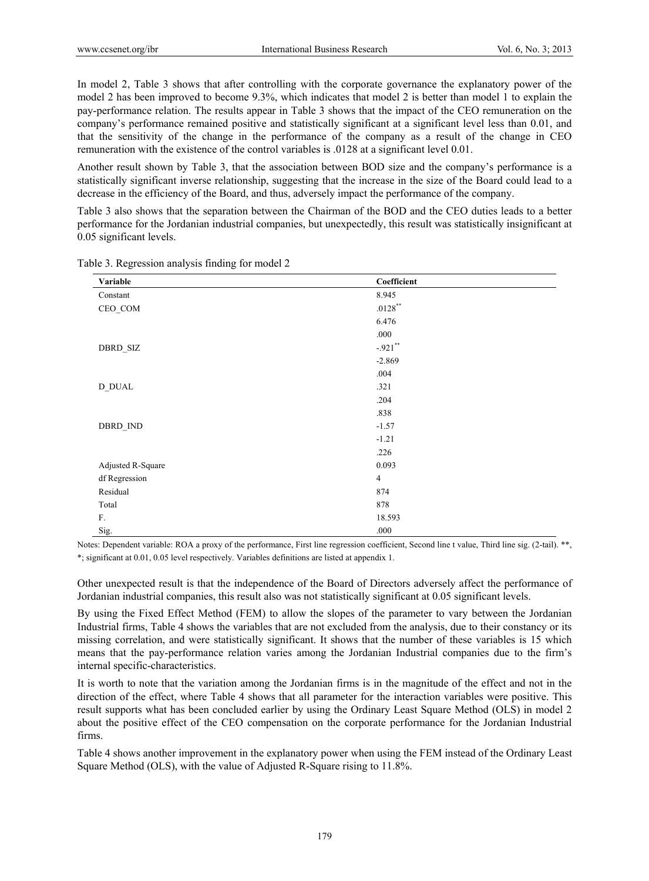In model 2, Table 3 shows that after controlling with the corporate governance the explanatory power of the model 2 has been improved to become 9.3%, which indicates that model 2 is better than model 1 to explain the pay-performance relation. The results appear in Table 3 shows that the impact of the CEO remuneration on the company's performance remained positive and statistically significant at a significant level less than 0.01, and that the sensitivity of the change in the performance of the company as a result of the change in CEO remuneration with the existence of the control variables is .0128 at a significant level 0.01.

Another result shown by Table 3, that the association between BOD size and the company's performance is a statistically significant inverse relationship, suggesting that the increase in the size of the Board could lead to a decrease in the efficiency of the Board, and thus, adversely impact the performance of the company.

Table 3 also shows that the separation between the Chairman of the BOD and the CEO duties leads to a better performance for the Jordanian industrial companies, but unexpectedly, this result was statistically insignificant at 0.05 significant levels.

| Variable             | Coefficient    |
|----------------------|----------------|
| Constant             | 8.945          |
| CEO_COM              | $.0128\sp{*}$  |
|                      | 6.476          |
|                      | .000           |
| DBRD_SIZ             | $-.921$ **     |
|                      | $-2.869$       |
|                      | .004           |
| D_DUAL               | .321           |
|                      | .204           |
|                      | .838           |
| $\texttt{DBRD\_IND}$ | $-1.57$        |
|                      | $-1.21$        |
|                      | .226           |
| Adjusted R-Square    | 0.093          |
| df Regression        | $\overline{4}$ |
| Residual             | 874            |
| Total                | 878            |
| F.                   | 18.593         |
| Sig.                 | .000           |

Table 3. Regression analysis finding for model 2

Notes: Dependent variable: ROA a proxy of the performance, First line regression coefficient, Second line t value, Third line sig. (2-tail). \*\*, \*; significant at 0.01, 0.05 level respectively. Variables definitions are listed at appendix 1.

Other unexpected result is that the independence of the Board of Directors adversely affect the performance of Jordanian industrial companies, this result also was not statistically significant at 0.05 significant levels.

By using the Fixed Effect Method (FEM) to allow the slopes of the parameter to vary between the Jordanian Industrial firms, Table 4 shows the variables that are not excluded from the analysis, due to their constancy or its missing correlation, and were statistically significant. It shows that the number of these variables is 15 which means that the pay-performance relation varies among the Jordanian Industrial companies due to the firm's internal specific-characteristics.

It is worth to note that the variation among the Jordanian firms is in the magnitude of the effect and not in the direction of the effect, where Table 4 shows that all parameter for the interaction variables were positive. This result supports what has been concluded earlier by using the Ordinary Least Square Method (OLS) in model 2 about the positive effect of the CEO compensation on the corporate performance for the Jordanian Industrial firms.

Table 4 shows another improvement in the explanatory power when using the FEM instead of the Ordinary Least Square Method (OLS), with the value of Adjusted R-Square rising to 11.8%.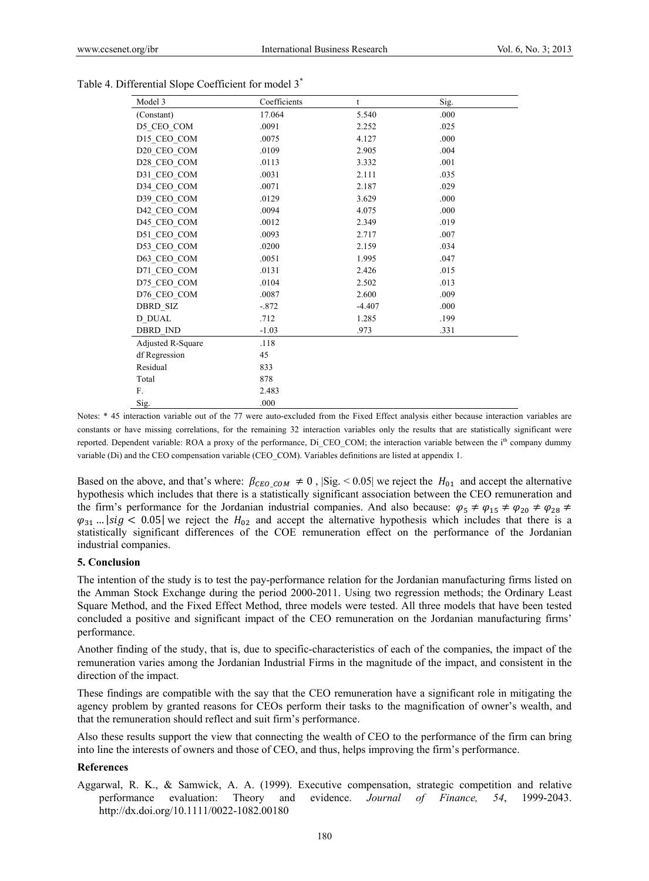| Model 3           | Coefficients | t        | Sig. |  |
|-------------------|--------------|----------|------|--|
| (Constant)        | 17.064       | 5.540    | .000 |  |
| D5_CEO_COM        | .0091        | 2.252    | .025 |  |
| D15 CEO COM       | .0075        | 4.127    | .000 |  |
| D20 CEO COM       | .0109        | 2.905    | .004 |  |
| D28 CEO COM       | .0113        | 3.332    | .001 |  |
| D31 CEO COM       | .0031        | 2.111    | .035 |  |
| D34 CEO COM       | .0071        | 2.187    | .029 |  |
| D39_CEO_COM       | .0129        | 3.629    | .000 |  |
| D42_CEO_COM       | .0094        | 4.075    | .000 |  |
| D45 CEO COM       | .0012        | 2.349    | .019 |  |
| D51 CEO COM       | .0093        | 2.717    | .007 |  |
| D53 CEO COM       | .0200        | 2.159    | .034 |  |
| D63 CEO COM       | .0051        | 1.995    | .047 |  |
| D71 CEO COM       | .0131        | 2.426    | .015 |  |
| D75_CEO_COM       | .0104        | 2.502    | .013 |  |
| D76 CEO COM       | .0087        | 2.600    | .009 |  |
| DBRD SIZ          | $-.872$      | $-4.407$ | .000 |  |
| D DUAL            | .712         | 1.285    | .199 |  |
| <b>DBRD IND</b>   | $-1.03$      | .973     | .331 |  |
| Adjusted R-Square | .118         |          |      |  |
| df Regression     | 45           |          |      |  |
| Residual          | 833          |          |      |  |
| Total             | 878          |          |      |  |
| F.                | 2.483        |          |      |  |
| Sig.              | .000         |          |      |  |

| Table 4. Differential Slope Coefficient for model 3 <sup>*</sup> |  |  |  |
|------------------------------------------------------------------|--|--|--|
|                                                                  |  |  |  |

Notes: \* 45 interaction variable out of the 77 were auto-excluded from the Fixed Effect analysis either because interaction variables are constants or have missing correlations, for the remaining 32 interaction variables only the results that are statistically significant were reported. Dependent variable: ROA a proxy of the performance, Di CEO COM; the interaction variable between the i<sup>th</sup> company dummy variable (Di) and the CEO compensation variable (CEO\_COM). Variables definitions are listed at appendix 1.

Based on the above, and that's where:  $\beta_{CEO\_COM} \neq 0$ ,  $|\text{Sig.} < 0.05|$  we reject the  $H_{01}$  and accept the alternative hypothesis which includes that there is a statistically significant association between the CEO remuneration and the firm's performance for the Jordanian industrial companies. And also because:  $\varphi_5 \neq \varphi_{15} \neq \varphi_{20} \neq \varphi_{28} \neq \varphi_{28} \neq \varphi_{28} \neq \varphi_{28} \neq \varphi_{28} \neq \varphi_{28} \neq \varphi_{28} \neq \varphi_{28} \neq \varphi_{28} \neq \varphi_{28} \neq \varphi_{28} \neq \$  $\varphi_{31}$  ... |sig < 0.05| we reject the  $H_{02}$  and accept the alternative hypothesis which includes that there is a statistically significant differences of the COE remuneration effect on the performance of the Jordanian industrial companies.

## **5. Conclusion**

The intention of the study is to test the pay-performance relation for the Jordanian manufacturing firms listed on the Amman Stock Exchange during the period 2000-2011. Using two regression methods; the Ordinary Least Square Method, and the Fixed Effect Method, three models were tested. All three models that have been tested concluded a positive and significant impact of the CEO remuneration on the Jordanian manufacturing firms' performance.

Another finding of the study, that is, due to specific-characteristics of each of the companies, the impact of the remuneration varies among the Jordanian Industrial Firms in the magnitude of the impact, and consistent in the direction of the impact.

These findings are compatible with the say that the CEO remuneration have a significant role in mitigating the agency problem by granted reasons for CEOs perform their tasks to the magnification of owner's wealth, and that the remuneration should reflect and suit firm's performance.

Also these results support the view that connecting the wealth of CEO to the performance of the firm can bring into line the interests of owners and those of CEO, and thus, helps improving the firm's performance.

#### **References**

Aggarwal, R. K., & Samwick, A. A. (1999). Executive compensation, strategic competition and relative performance evaluation: Theory and evidence. *Journal of Finance, 54*, 1999-2043. http://dx.doi.org/10.1111/0022-1082.00180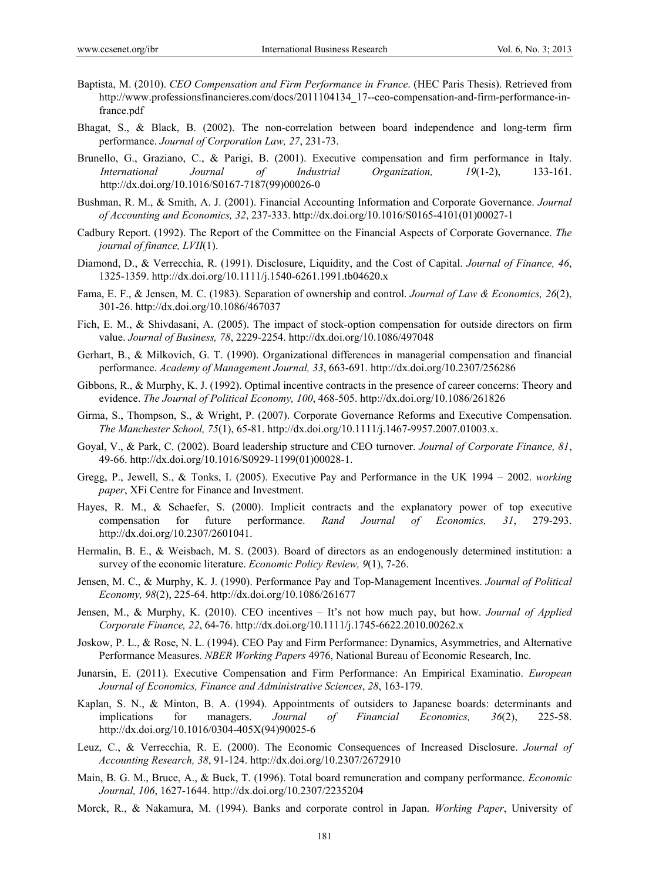- Baptista, M. (2010). *CEO Compensation and Firm Performance in France*. (HEC Paris Thesis). Retrieved from http://www.professionsfinancieres.com/docs/2011104134\_17--ceo-compensation-and-firm-performance-infrance.pdf
- Bhagat, S., & Black, B. (2002). The non-correlation between board independence and long-term firm performance. *Journal of Corporation Law, 27*, 231-73.
- Brunello, G., Graziano, C., & Parigi, B. (2001). Executive compensation and firm performance in Italy. *International Journal of Industrial Organization, 19*(1-2), 133-161. http://dx.doi.org/10.1016/S0167-7187(99)00026-0
- Bushman, R. M., & Smith, A. J. (2001). Financial Accounting Information and Corporate Governance. *Journal of Accounting and Economics, 32*, 237-333. http://dx.doi.org/10.1016/S0165-4101(01)00027-1
- Cadbury Report. (1992). The Report of the Committee on the Financial Aspects of Corporate Governance. *The journal of finance, LVII*(1).
- Diamond, D., & Verrecchia, R. (1991). Disclosure, Liquidity, and the Cost of Capital. *Journal of Finance, 46*, 1325-1359. http://dx.doi.org/10.1111/j.1540-6261.1991.tb04620.x
- Fama, E. F., & Jensen, M. C. (1983). Separation of ownership and control. *Journal of Law & Economics, 26*(2), 301-26. http://dx.doi.org/10.1086/467037
- Fich, E. M., & Shivdasani, A. (2005). The impact of stock-option compensation for outside directors on firm value. *Journal of Business, 78*, 2229-2254. http://dx.doi.org/10.1086/497048
- Gerhart, B., & Milkovich, G. T. (1990). Organizational differences in managerial compensation and financial performance. *Academy of Management Journal, 33*, 663-691. http://dx.doi.org/10.2307/256286
- Gibbons, R., & Murphy, K. J. (1992). Optimal incentive contracts in the presence of career concerns: Theory and evidence. *The Journal of Political Economy, 100*, 468-505. http://dx.doi.org/10.1086/261826
- Girma, S., Thompson, S., & Wright, P. (2007). Corporate Governance Reforms and Executive Compensation. *The Manchester School, 75*(1), 65-81. http://dx.doi.org/10.1111/j.1467-9957.2007.01003.x.
- Goyal, V., & Park, C. (2002). Board leadership structure and CEO turnover. *Journal of Corporate Finance, 81*, 49-66. http://dx.doi.org/10.1016/S0929-1199(01)00028-1.
- Gregg, P., Jewell, S., & Tonks, I. (2005). Executive Pay and Performance in the UK 1994 2002. *working paper*, XFi Centre for Finance and Investment.
- Hayes, R. M., & Schaefer, S. (2000). Implicit contracts and the explanatory power of top executive compensation for future performance. *Rand Journal of Economics, 31*, 279-293. http://dx.doi.org/10.2307/2601041.
- Hermalin, B. E., & Weisbach, M. S. (2003). Board of directors as an endogenously determined institution: a survey of the economic literature. *Economic Policy Review, 9*(1), 7-26.
- Jensen, M. C., & Murphy, K. J. (1990). Performance Pay and Top-Management Incentives. *Journal of Political Economy, 98*(2), 225-64. http://dx.doi.org/10.1086/261677
- Jensen, M., & Murphy, K. (2010). CEO incentives It's not how much pay, but how. *Journal of Applied Corporate Finance, 22*, 64-76. http://dx.doi.org/10.1111/j.1745-6622.2010.00262.x
- Joskow, P. L., & Rose, N. L. (1994). CEO Pay and Firm Performance: Dynamics, Asymmetries, and Alternative Performance Measures. *NBER Working Papers* 4976, National Bureau of Economic Research, Inc.
- Junarsin, E. (2011). Executive Compensation and Firm Performance: An Empirical Examinatio. *European Journal of Economics, Finance and Administrative Sciences*, *28*, 163-179.
- Kaplan, S. N., & Minton, B. A. (1994). Appointments of outsiders to Japanese boards: determinants and implications for managers. *Journal of Financial Economics, 36*(2), 225-58. http://dx.doi.org/10.1016/0304-405X(94)90025-6
- Leuz, C., & Verrecchia, R. E. (2000). The Economic Consequences of Increased Disclosure. *Journal of Accounting Research, 38*, 91-124. http://dx.doi.org/10.2307/2672910
- Main, B. G. M., Bruce, A., & Buck, T. (1996). Total board remuneration and company performance. *Economic Journal, 106*, 1627-1644. http://dx.doi.org/10.2307/2235204
- Morck, R., & Nakamura, M. (1994). Banks and corporate control in Japan. *Working Paper*, University of